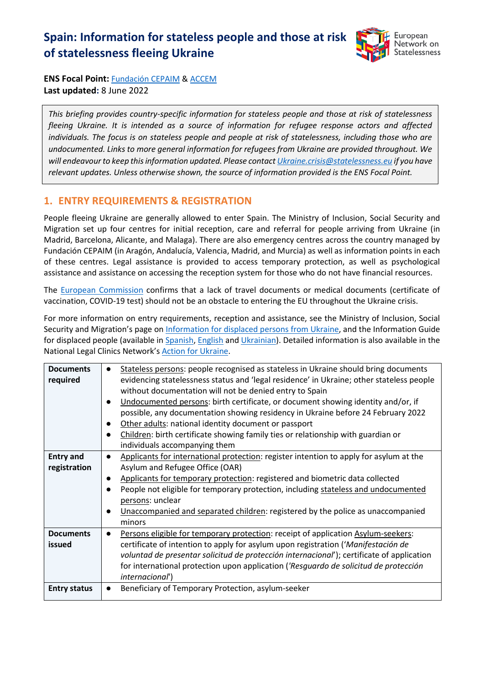# **Spain: Information for stateless people and those at risk of statelessness fleeing Ukraine**



**ENS Focal Point:** [Fundación CEPAIM](http://cepaim.org/) [& ACCEM](http://www.accem.es/) **Last updated:** 8 June 2022

*This briefing provides country-specific information for stateless people and those at risk of statelessness fleeing Ukraine. It is intended as a source of information for refugee response actors and affected individuals. The focus is on stateless people and people at risk of statelessness, including those who are undocumented. Links to more general information for refugees from Ukraine are provided throughout. We will endeavour to keep this information updated. Please contact Ukraine.crisis@statelessness.eu if you have relevant updates. Unless otherwise shown, the source of information provided is the ENS Focal Point.*

#### **1. ENTRY REQUIREMENTS & REGISTRATION**

People fleeing Ukraine are generally allowed to enter Spain. The Ministry of Inclusion, Social Security and Migration set up four centres for initial reception, care and referral for people arriving from Ukraine (in Madrid, Barcelona, Alicante, and Malaga). There are also emergency centres across the country managed by Fundación CEPAIM (in Aragón, Andalucía, Valencia, Madrid, and Murcia) as well as information points in each of these centres. Legal assistance is provided to access temporary protection, as well as psychological assistance and assistance on accessing the reception system for those who do not have financial resources.

The [European Commission](https://ec.europa.eu/info/sites/default/files/information_for_people_fleeing_russias_invasion_of_ukraine_en.pdf) confirms that a lack of travel documents or medical documents (certificate of vaccination, COVID-19 test) should not be an obstacle to entering the EU throughout the Ukraine crisis.

For more information on entry requirements, reception and assistance, see the Ministry of Inclusion, Social Security and Migration's page on [Information for displaced persons from Ukraine,](https://www.inclusion.gob.es/es/ucrania/index.htm) and the Information Guide for displaced people (available i[n Spanish,](https://www.inclusion.gob.es/ficheros/ucrania/Preguntas_Respuestas_Ucrania_Es.pdf) [English](https://web.icam.es/wp-content/uploads/2022/03/GUIA-FINAL.-EN.-V2_compressed.pdf) an[d Ukrainian\)](https://www.policia.es/miscelanea/destacados/ucrania/guia_desplazados_ucranianosuk.pdf). Detailed information is also available in the National Legal Clinics Network's [Action for Ukraine.](https://clinicajuridica.usal.es/accion-red-por-ucrania/)

| <b>Documents</b>    | $\bullet$ | Stateless persons: people recognised as stateless in Ukraine should bring documents       |
|---------------------|-----------|-------------------------------------------------------------------------------------------|
| required            |           | evidencing statelessness status and 'legal residence' in Ukraine; other stateless people  |
|                     |           | without documentation will not be denied entry to Spain                                   |
|                     |           |                                                                                           |
|                     |           | Undocumented persons: birth certificate, or document showing identity and/or, if          |
|                     |           | possible, any documentation showing residency in Ukraine before 24 February 2022          |
|                     | $\bullet$ | Other adults: national identity document or passport                                      |
|                     |           | Children: birth certificate showing family ties or relationship with guardian or          |
|                     |           | individuals accompanying them                                                             |
| <b>Entry and</b>    | $\bullet$ | Applicants for international protection: register intention to apply for asylum at the    |
| registration        |           | Asylum and Refugee Office (OAR)                                                           |
|                     |           | Applicants for temporary protection: registered and biometric data collected              |
|                     |           | People not eligible for temporary protection, including stateless and undocumented        |
|                     |           | persons: unclear                                                                          |
|                     |           | Unaccompanied and separated children: registered by the police as unaccompanied           |
|                     |           | minors                                                                                    |
| <b>Documents</b>    | $\bullet$ | Persons eligible for temporary protection: receipt of application Asylum-seekers:         |
| issued              |           | certificate of intention to apply for asylum upon registration ('Manifestación de         |
|                     |           | voluntad de presentar solicitud de protección internacional'); certificate of application |
|                     |           | for international protection upon application ('Resquardo de solicitud de protección      |
|                     |           |                                                                                           |
|                     |           | <i>internacional')</i>                                                                    |
| <b>Entry status</b> |           | Beneficiary of Temporary Protection, asylum-seeker                                        |
|                     |           |                                                                                           |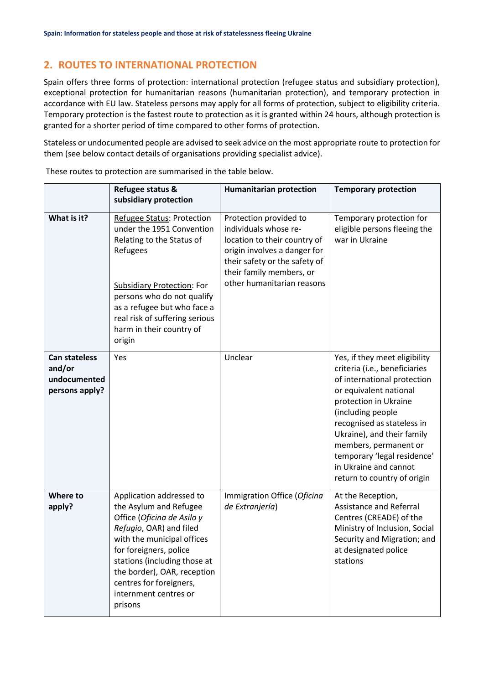## **2. ROUTES TO INTERNATIONAL PROTECTION**

Spain offers three forms of protection: international protection (refugee status and subsidiary protection), exceptional protection for humanitarian reasons (humanitarian protection), and temporary protection in accordance with EU law. Stateless persons may apply for all forms of protection, subject to eligibility criteria. Temporary protection is the fastest route to protection as it is granted within 24 hours, although protection is granted for a shorter period of time compared to other forms of protection.

Stateless or undocumented people are advised to seek advice on the most appropriate route to protection for them (see below contact details of organisations providing specialist advice).

|                                                                  | Refugee status &<br>subsidiary protection                                                                                                                                                                                                                                                         | <b>Humanitarian protection</b>                                                                                                                                                                             | <b>Temporary protection</b>                                                                                                                                                                                                                                                                                                                       |
|------------------------------------------------------------------|---------------------------------------------------------------------------------------------------------------------------------------------------------------------------------------------------------------------------------------------------------------------------------------------------|------------------------------------------------------------------------------------------------------------------------------------------------------------------------------------------------------------|---------------------------------------------------------------------------------------------------------------------------------------------------------------------------------------------------------------------------------------------------------------------------------------------------------------------------------------------------|
| What is it?                                                      | Refugee Status: Protection<br>under the 1951 Convention<br>Relating to the Status of<br>Refugees<br><b>Subsidiary Protection: For</b><br>persons who do not qualify<br>as a refugee but who face a<br>real risk of suffering serious<br>harm in their country of<br>origin                        | Protection provided to<br>individuals whose re-<br>location to their country of<br>origin involves a danger for<br>their safety or the safety of<br>their family members, or<br>other humanitarian reasons | Temporary protection for<br>eligible persons fleeing the<br>war in Ukraine                                                                                                                                                                                                                                                                        |
| <b>Can stateless</b><br>and/or<br>undocumented<br>persons apply? | Yes                                                                                                                                                                                                                                                                                               | Unclear                                                                                                                                                                                                    | Yes, if they meet eligibility<br>criteria (i.e., beneficiaries<br>of international protection<br>or equivalent national<br>protection in Ukraine<br>(including people<br>recognised as stateless in<br>Ukraine), and their family<br>members, permanent or<br>temporary 'legal residence'<br>in Ukraine and cannot<br>return to country of origin |
| Where to<br>apply?                                               | Application addressed to<br>the Asylum and Refugee<br>Office (Oficina de Asilo y<br>Refugio, OAR) and filed<br>with the municipal offices<br>for foreigners, police<br>stations (including those at<br>the border), OAR, reception<br>centres for foreigners,<br>internment centres or<br>prisons | Immigration Office (Oficina<br>de Extranjería)                                                                                                                                                             | At the Reception,<br><b>Assistance and Referral</b><br>Centres (CREADE) of the<br>Ministry of Inclusion, Social<br>Security and Migration; and<br>at designated police<br>stations                                                                                                                                                                |

These routes to protection are summarised in the table below.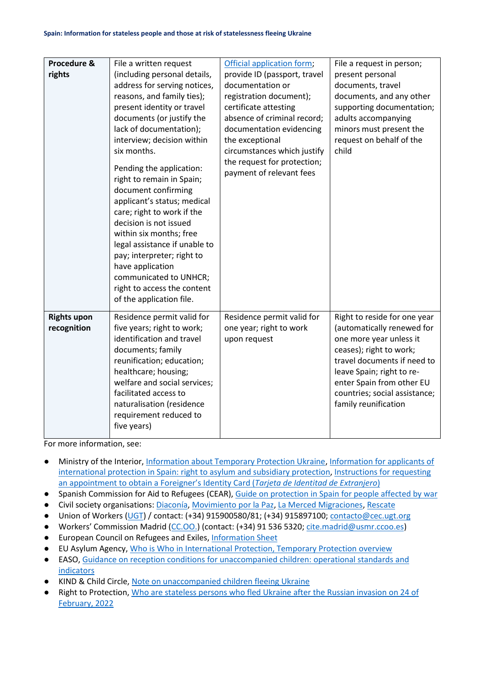| Procedure &<br>rights             | File a written request<br>(including personal details,<br>address for serving notices,<br>reasons, and family ties);<br>present identity or travel<br>documents (or justify the<br>lack of documentation);<br>interview; decision within<br>six months.<br>Pending the application:<br>right to remain in Spain;<br>document confirming<br>applicant's status; medical<br>care; right to work if the<br>decision is not issued<br>within six months; free<br>legal assistance if unable to<br>pay; interpreter; right to<br>have application<br>communicated to UNHCR;<br>right to access the content | Official application form;<br>provide ID (passport, travel<br>documentation or<br>registration document);<br>certificate attesting<br>absence of criminal record;<br>documentation evidencing<br>the exceptional<br>circumstances which justify<br>the request for protection;<br>payment of relevant fees | File a request in person;<br>present personal<br>documents, travel<br>documents, and any other<br>supporting documentation;<br>adults accompanying<br>minors must present the<br>request on behalf of the<br>child                                                 |
|-----------------------------------|-------------------------------------------------------------------------------------------------------------------------------------------------------------------------------------------------------------------------------------------------------------------------------------------------------------------------------------------------------------------------------------------------------------------------------------------------------------------------------------------------------------------------------------------------------------------------------------------------------|------------------------------------------------------------------------------------------------------------------------------------------------------------------------------------------------------------------------------------------------------------------------------------------------------------|--------------------------------------------------------------------------------------------------------------------------------------------------------------------------------------------------------------------------------------------------------------------|
|                                   | of the application file.                                                                                                                                                                                                                                                                                                                                                                                                                                                                                                                                                                              |                                                                                                                                                                                                                                                                                                            |                                                                                                                                                                                                                                                                    |
| <b>Rights upon</b><br>recognition | Residence permit valid for<br>five years; right to work;<br>identification and travel<br>documents; family<br>reunification; education;<br>healthcare; housing;<br>welfare and social services;<br>facilitated access to<br>naturalisation (residence<br>requirement reduced to<br>five years)                                                                                                                                                                                                                                                                                                        | Residence permit valid for<br>one year; right to work<br>upon request                                                                                                                                                                                                                                      | Right to reside for one year<br>(automatically renewed for<br>one more year unless it<br>ceases); right to work;<br>travel documents if need to<br>leave Spain; right to re-<br>enter Spain from other EU<br>countries; social assistance;<br>family reunification |

For more information, see:

- Ministry of the Interior[, Information about Temporary Protection Ukraine,](http://www.interior.gob.es/es/web/servicios-al-ciudadano/informacion-sobre-proteccion-temporal) [Information for applicants of](http://www.interior.gob.es/documents/642317/1201485/Informacion_solicitantes_Asilo_Ingles_126160099.pdf/c2097f86-ebc6-4e7b-aeda-d9a64782c457)  [international protection in Spain: right to asylum and subsidiary protection,](http://www.interior.gob.es/documents/642317/1201485/Informacion_solicitantes_Asilo_Ingles_126160099.pdf/c2097f86-ebc6-4e7b-aeda-d9a64782c457) Instructions for requesting [an appointment to obtain a Foreigner's Identity Card \(](https://www.policia.es/miscelanea/destacados/ucrania/guia_solicitud_tie_ucraniano.pdf)*Tarjeta de Identitad de Extranjero*)
- Spanish Commission for Aid to Refugees (CEAR)[, Guide on protection in Spain for people affected by war](https://www.cear.es/guia-sobre-la-proteccion-en-espana-para-personas-afectadas-por-la-guerra-en-ucrania/)
- Civil society organisations: [Diaconía,](https://diaconia.es/) [Movimiento por la Paz,](https://www.mpdl.org/) [La Merced Migraciones,](https://www.lamercedmigraciones.org/) [Rescate](https://ongrescate.org/)
- Union of Workers [\(UGT\)](https://www.ugt.es/) / contact: (+34) 915900580/81; (+34) 915897100; [contacto@cec.ugt.org](mailto:contacto@cec.ugt.org)
- Workers' Commission Madrid [\(CC.OO.\)](https://madrid.ccoo.es/refugioucrania) (contact: (+34) 91 536 5320; [cite.madrid@usmr.ccoo.es\)](mailto:cite.madrid@usmr.ccoo.es)
- European Council on Refugees and Exiles, [Information Sheet](https://ecre.org/wp-content/uploads/2022/03/Information-Sheet-%E2%80%93-Access-to-territory-asylum-procedures-and-reception-conditions-for-Ukrainian-nationals-in-European-countries.pdf)
- EU Asylum Agency, [Who is Who in International Protection, Temporary Protection overview](https://whoiswho.euaa.europa.eu/temporary-protection)
- EASO, [Guidance on reception conditions for unaccompanied children: operational standards and](https://euaa.europa.eu/publications/guidance-reception-conditions-unaccompanied-children)  [indicators](https://euaa.europa.eu/publications/guidance-reception-conditions-unaccompanied-children)
- KIND & Child Circle, [Note on unaccompanied children fleeing Ukraine](https://supportkind.org/wp-content/uploads/2022/03/Note-on-Unaccompanied-Children-Fleeing-from-Ukraine_Updated.pdf)
- Right to Protection, [Who are stateless persons who fled Ukraine after the Russian invasion on 24 of](https://r2p.org.ua/stateless-persons-fled-ukraine-after-2022/?lang=en)  [February, 2022](https://r2p.org.ua/stateless-persons-fled-ukraine-after-2022/?lang=en)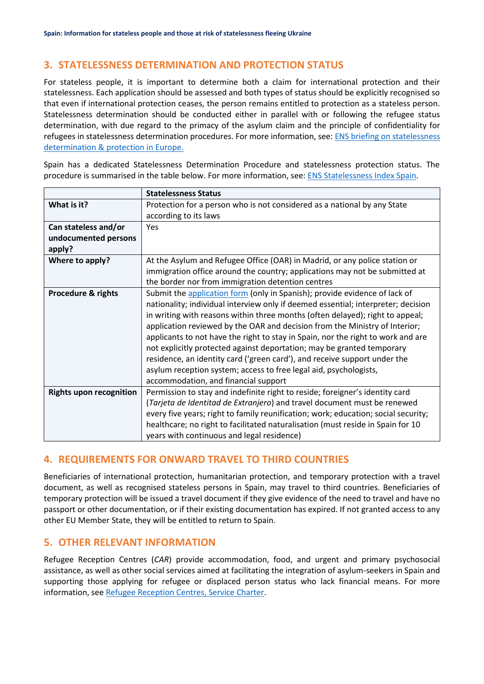### **3. STATELESSNESS DETERMINATION AND PROTECTION STATUS**

For stateless people, it is important to determine both a claim for international protection and their statelessness. Each application should be assessed and both types of status should be explicitly recognised so that even if international protection ceases, the person remains entitled to protection as a stateless person. Statelessness determination should be conducted either in parallel with or following the refugee status determination, with due regard to the primacy of the asylum claim and the principle of confidentiality for refugees in statelessness determination procedures. For more information, see: [ENS briefing on statelessness](https://index.statelessness.eu/sites/default/files/ENS-Statelessness_determination_and_protection_in_Europe-Sep_2021.pdf)  [determination & protection in Europe.](https://index.statelessness.eu/sites/default/files/ENS-Statelessness_determination_and_protection_in_Europe-Sep_2021.pdf)

Spain has a dedicated Statelessness Determination Procedure and statelessness protection status. The procedure is summarised in the table below. For more information, see: [ENS Statelessness Index Spain.](https://index.statelessness.eu/country/spain)

|                                | <b>Statelessness Status</b>                                                        |
|--------------------------------|------------------------------------------------------------------------------------|
| What is it?                    | Protection for a person who is not considered as a national by any State           |
|                                | according to its laws                                                              |
| Can stateless and/or           | Yes                                                                                |
| undocumented persons           |                                                                                    |
| apply?                         |                                                                                    |
| Where to apply?                | At the Asylum and Refugee Office (OAR) in Madrid, or any police station or         |
|                                | immigration office around the country; applications may not be submitted at        |
|                                | the border nor from immigration detention centres                                  |
| <b>Procedure &amp; rights</b>  | Submit the application form (only in Spanish); provide evidence of lack of         |
|                                | nationality; individual interview only if deemed essential; interpreter; decision  |
|                                | in writing with reasons within three months (often delayed); right to appeal;      |
|                                | application reviewed by the OAR and decision from the Ministry of Interior;        |
|                                | applicants to not have the right to stay in Spain, nor the right to work and are   |
|                                | not explicitly protected against deportation; may be granted temporary             |
|                                | residence, an identity card ('green card'), and receive support under the          |
|                                | asylum reception system; access to free legal aid, psychologists,                  |
|                                | accommodation, and financial support                                               |
| <b>Rights upon recognition</b> | Permission to stay and indefinite right to reside; foreigner's identity card       |
|                                | (Tarjeta de Identitad de Extranjero) and travel document must be renewed           |
|                                | every five years; right to family reunification; work; education; social security; |
|                                | healthcare; no right to facilitated naturalisation (must reside in Spain for 10    |
|                                | years with continuous and legal residence)                                         |

#### **4. REQUIREMENTS FOR ONWARD TRAVEL TO THIRD COUNTRIES**

Beneficiaries of international protection, humanitarian protection, and temporary protection with a travel document, as well as recognised stateless persons in Spain, may travel to third countries. Beneficiaries of temporary protection will be issued a travel document if they give evidence of the need to travel and have no passport or other documentation, or if their existing documentation has expired. If not granted access to any other EU Member State, they will be entitled to return to Spain.

#### **5. OTHER RELEVANT INFORMATION**

Refugee Reception Centres (*CAR*) provide accommodation, food, and urgent and primary psychosocial assistance, as well as other social services aimed at facilitating the integration of asylum-seekers in Spain and supporting those applying for refugee or displaced person status who lack financial means. For more information, see [Refugee Reception Centres, Service Charter.](https://extranjeros.inclusion.gob.es/ficheros/proteccion_asilo/car/Carta_de_Servicios_2018_2021_en.pdf)